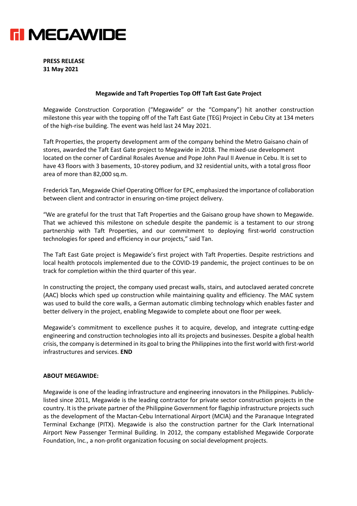

**PRESS RELEASE 31 May 2021**

## **Megawide and Taft Properties Top Off Taft East Gate Project**

Megawide Construction Corporation ("Megawide" or the "Company") hit another construction milestone this year with the topping off of the Taft East Gate (TEG) Project in Cebu City at 134 meters of the high-rise building. The event was held last 24 May 2021.

Taft Properties, the property development arm of the company behind the Metro Gaisano chain of stores, awarded the Taft East Gate project to Megawide in 2018. The mixed-use development located on the corner of Cardinal Rosales Avenue and Pope John Paul II Avenue in Cebu. It is set to have 43 floors with 3 basements, 10-storey podium, and 32 residential units, with a total gross floor area of more than 82,000 sq.m.

Frederick Tan, Megawide Chief Operating Officer for EPC, emphasized the importance of collaboration between client and contractor in ensuring on-time project delivery.

"We are grateful for the trust that Taft Properties and the Gaisano group have shown to Megawide. That we achieved this milestone on schedule despite the pandemic is a testament to our strong partnership with Taft Properties, and our commitment to deploying first-world construction technologies for speed and efficiency in our projects," said Tan.

The Taft East Gate project is Megawide's first project with Taft Properties. Despite restrictions and local health protocols implemented due to the COVID-19 pandemic, the project continues to be on track for completion within the third quarter of this year.

In constructing the project, the company used precast walls, stairs, and autoclaved aerated concrete (AAC) blocks which sped up construction while maintaining quality and efficiency. The MAC system was used to build the core walls, a German automatic climbing technology which enables faster and better delivery in the project, enabling Megawide to complete about one floor per week.

Megawide's commitment to excellence pushes it to acquire, develop, and integrate cutting-edge engineering and construction technologies into all its projects and businesses. Despite a global health crisis, the company is determined in its goal to bring the Philippines into the first world with first-world infrastructures and services. **END**

## **ABOUT MEGAWIDE:**

Megawide is one of the leading infrastructure and engineering innovators in the Philippines. Publiclylisted since 2011, Megawide is the leading contractor for private sector construction projects in the country. It is the private partner of the Philippine Government for flagship infrastructure projects such as the development of the Mactan-Cebu International Airport (MCIA) and the Paranaque Integrated Terminal Exchange (PITX). Megawide is also the construction partner for the Clark International Airport New Passenger Terminal Building. In 2012, the company established Megawide Corporate Foundation, Inc., a non-profit organization focusing on social development projects.